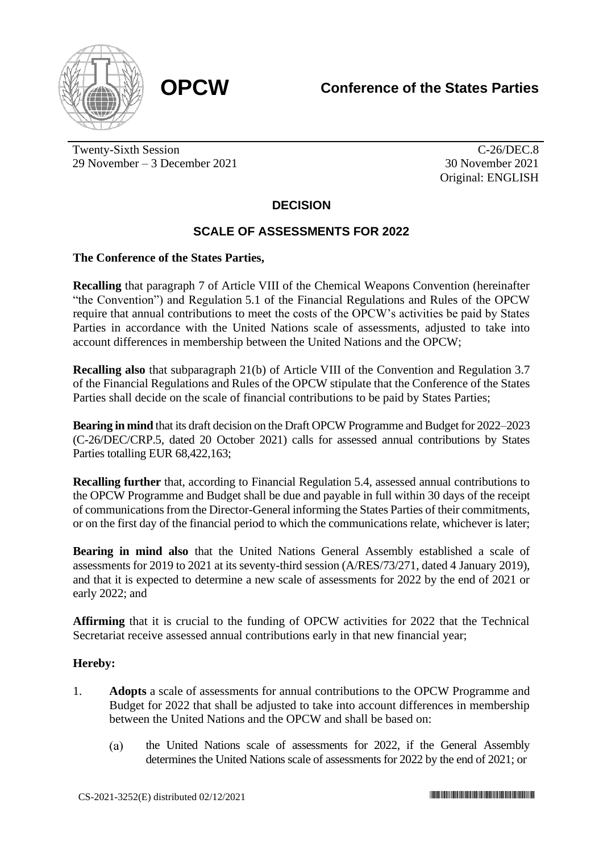

Twenty-Sixth Session 29 November – 3 December 2021

C-26/DEC.8 30 November 2021 Original: ENGLISH

# **DECISION**

# **SCALE OF ASSESSMENTS FOR 2022**

### **The Conference of the States Parties,**

**Recalling** that paragraph 7 of Article VIII of the Chemical Weapons Convention (hereinafter "the Convention") and Regulation 5.1 of the Financial Regulations and Rules of the OPCW require that annual contributions to meet the costs of the OPCW's activities be paid by States Parties in accordance with the United Nations scale of assessments, adjusted to take into account differences in membership between the United Nations and the OPCW;

**Recalling also** that subparagraph 21(b) of Article VIII of the Convention and Regulation 3.7 of the Financial Regulations and Rules of the OPCW stipulate that the Conference of the States Parties shall decide on the scale of financial contributions to be paid by States Parties;

**Bearing in mind** that its draft decision on the Draft OPCW Programme and Budget for 2022–2023 (C-26/DEC/CRP.5, dated 20 October 2021) calls for assessed annual contributions by States Parties totalling EUR 68,422,163;

**Recalling further** that, according to Financial Regulation 5.4, assessed annual contributions to the OPCW Programme and Budget shall be due and payable in full within 30 days of the receipt of communications from the Director-General informing the States Parties of their commitments, or on the first day of the financial period to which the communications relate, whichever is later;

**Bearing in mind also** that the United Nations General Assembly established a scale of assessments for 2019 to 2021 at its seventy-third session (A/RES/73/271, dated 4 January 2019), and that it is expected to determine a new scale of assessments for 2022 by the end of 2021 or early 2022; and

**Affirming** that it is crucial to the funding of OPCW activities for 2022 that the Technical Secretariat receive assessed annual contributions early in that new financial year;

### **Hereby:**

- 1. **Adopts** a scale of assessments for annual contributions to the OPCW Programme and Budget for 2022 that shall be adjusted to take into account differences in membership between the United Nations and the OPCW and shall be based on:
	- $(a)$ the United Nations scale of assessments for 2022, if the General Assembly determines the United Nations scale of assessments for 2022 by the end of 2021; or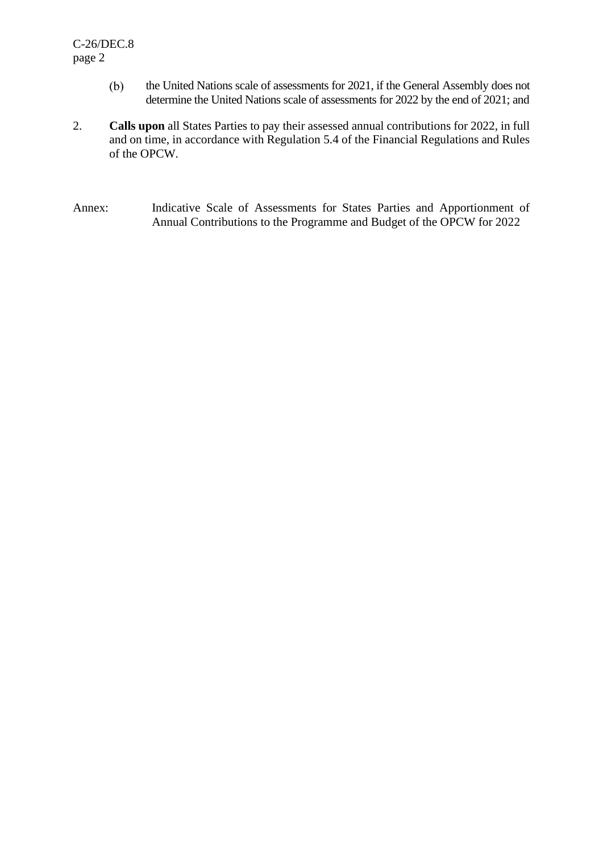- $(b)$ the United Nations scale of assessments for 2021, if the General Assembly does not determine the United Nations scale of assessments for 2022 by the end of 2021; and
- 2. **Calls upon** all States Parties to pay their assessed annual contributions for 2022, in full and on time, in accordance with Regulation 5.4 of the Financial Regulations and Rules of the OPCW.
- Annex: Indicative Scale of Assessments for States Parties and Apportionment of Annual Contributions to the Programme and Budget of the OPCW for 2022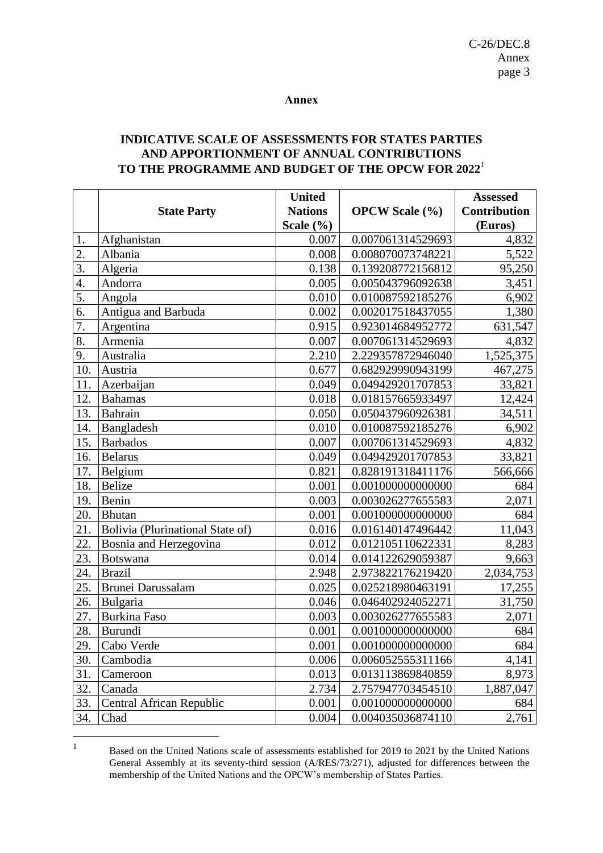#### **Annex**

### **INDICATIVE SCALE OF ASSESSMENTS FOR STATES PARTIES AND APPORTIONMENT OF ANNUAL CONTRIBUTIONS TO THE PROGRAMME AND BUDGET OF THE OPCW FOR 2022**<sup>1</sup>

|                   |                                  | <b>United</b>  |                       | <b>Assessed</b>     |
|-------------------|----------------------------------|----------------|-----------------------|---------------------|
|                   | <b>State Party</b>               | <b>Nations</b> | <b>OPCW Scale</b> (%) | <b>Contribution</b> |
|                   |                                  | Scale $(\% )$  |                       | (Euros)             |
| 1.                | Afghanistan                      | 0.007          | 0.007061314529693     | 4,832               |
| 2.                | Albania                          | 0.008          | 0.008070073748221     | 5,522               |
| $\overline{3}$ .  | Algeria                          | 0.138          | 0.139208772156812     | 95,250              |
| 4.                | Andorra                          | 0.005          | 0.005043796092638     | 3,451               |
| 5.                | Angola                           | 0.010          | 0.010087592185276     | 6,902               |
| 6.                | Antigua and Barbuda              | 0.002          | 0.002017518437055     | 1,380               |
| $\overline{7}$ .  | Argentina                        | 0.915          | 0.923014684952772     | 631,547             |
| 8.                | Armenia                          | 0.007          | 0.007061314529693     | 4,832               |
| 9.                | Australia                        | 2.210          | 2.229357872946040     | 1,525,375           |
| 10.               | Austria                          | 0.677          | 0.682929990943199     | 467,275             |
| 11.               | Azerbaijan                       | 0.049          | 0.049429201707853     | 33,821              |
| 12.               | <b>Bahamas</b>                   | 0.018          | 0.018157665933497     | 12,424              |
| 13.               | <b>Bahrain</b>                   | 0.050          | 0.050437960926381     | 34,511              |
| 14.               | Bangladesh                       | 0.010          | 0.010087592185276     | 6,902               |
| 15.               | <b>Barbados</b>                  | 0.007          | 0.007061314529693     | 4,832               |
| 16.               | <b>Belarus</b>                   | 0.049          | 0.049429201707853     | 33,821              |
| 17.               | Belgium                          | 0.821          | 0.828191318411176     | 566,666             |
| 18.               | <b>Belize</b>                    | 0.001          | 0.001000000000000     | 684                 |
| 19.               | Benin                            | 0.003          | 0.003026277655583     | 2,071               |
| 20.               | <b>Bhutan</b>                    | 0.001          | 0.001000000000000     | 684                 |
| 21.               | Bolivia (Plurinational State of) | 0.016          | 0.016140147496442     | 11,043              |
| 22.               | Bosnia and Herzegovina           | 0.012          | 0.012105110622331     | 8,283               |
| 23.               | <b>Botswana</b>                  | 0.014          | 0.014122629059387     | 9,663               |
| 24.               | <b>Brazil</b>                    | 2.948          | 2.973822176219420     | 2,034,753           |
| $2\overline{5}$ . | Brunei Darussalam                | 0.025          | 0.025218980463191     | 17,255              |
| 26.               | Bulgaria                         | 0.046          | 0.046402924052271     | 31,750              |
| 27.               | Burkina Faso                     | 0.003          | 0.003026277655583     | 2,071               |
| 28.               | Burundi                          | 0.001          | 0.001000000000000     | 684                 |
| 29.               | Cabo Verde                       | 0.001          | 0.001000000000000     | 684                 |
| 30.               | Cambodia                         | 0.006          | 0.006052555311166     | 4,141               |
| 31.               | Cameroon                         | 0.013          | 0.013113869840859     | 8,973               |
| 32.               | Canada                           | 2.734          | 2.757947703454510     | 1,887,047           |
| 33.               | Central African Republic         | 0.001          | 0.001000000000000     | 684                 |
| 34.               | Chad                             | 0.004          | 0.004035036874110     | 2,761               |

<sup>1</sup> Based on the United Nations scale of assessments established for 2019 to 2021 by the United Nations General Assembly at its seventy-third session (A/RES/73/271), adjusted for differences between the membership of the United Nations and the OPCW's membership of States Parties.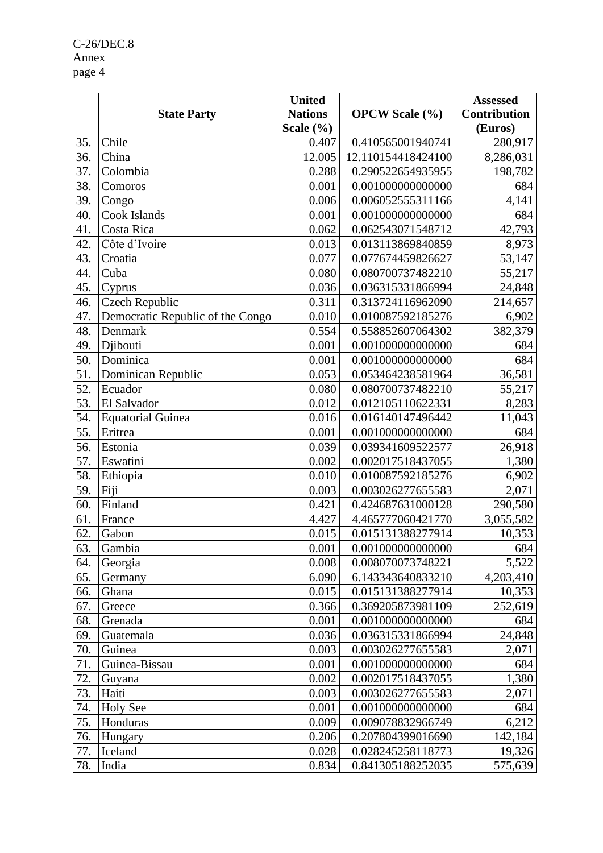C-26/DEC.8 Annex page 4

|     |                                  | <b>United</b>  |                       | <b>Assessed</b>     |
|-----|----------------------------------|----------------|-----------------------|---------------------|
|     | <b>State Party</b>               | <b>Nations</b> | <b>OPCW Scale</b> (%) | <b>Contribution</b> |
|     |                                  | Scale $(\% )$  |                       | (Euros)             |
| 35. | Chile                            | 0.407          | 0.410565001940741     | 280,917             |
| 36. | China                            | 12.005         | 12.110154418424100    | 8,286,031           |
| 37. | Colombia                         | 0.288          | 0.290522654935955     | 198,782             |
| 38. | Comoros                          | 0.001          | 0.001000000000000     | 684                 |
| 39. | Congo                            | 0.006          | 0.006052555311166     | 4,141               |
| 40. | Cook Islands                     | 0.001          | 0.001000000000000     | 684                 |
| 41. | Costa Rica                       | 0.062          | 0.062543071548712     | 42,793              |
| 42. | Côte d'Ivoire                    | 0.013          | 0.013113869840859     | 8,973               |
| 43. | Croatia                          | 0.077          | 0.077674459826627     | 53,147              |
| 44. | Cuba                             | 0.080          | 0.080700737482210     | 55,217              |
| 45. | Cyprus                           | 0.036          | 0.036315331866994     | 24,848              |
| 46. | Czech Republic                   | 0.311          | 0.313724116962090     | 214,657             |
| 47. | Democratic Republic of the Congo | 0.010          | 0.010087592185276     | 6,902               |
| 48. | Denmark                          | 0.554          | 0.558852607064302     | 382,379             |
| 49. | Djibouti                         | 0.001          | 0.001000000000000     | 684                 |
| 50. | Dominica                         | 0.001          | 0.001000000000000     | 684                 |
| 51. | Dominican Republic               | 0.053          | 0.053464238581964     | 36,581              |
| 52. | Ecuador                          | 0.080          | 0.080700737482210     | 55,217              |
| 53. | El Salvador                      | 0.012          | 0.012105110622331     | 8,283               |
| 54. | <b>Equatorial Guinea</b>         | 0.016          | 0.016140147496442     | 11,043              |
| 55. | Eritrea                          | 0.001          | 0.001000000000000     | 684                 |
| 56. | Estonia                          | 0.039          | 0.039341609522577     | 26,918              |
| 57. | Eswatini                         | 0.002          | 0.002017518437055     | 1,380               |
| 58. | Ethiopia                         | 0.010          | 0.010087592185276     | 6,902               |
| 59. | Fiji                             | 0.003          | 0.003026277655583     | 2,071               |
| 60. | Finland                          | 0.421          | 0.424687631000128     | 290,580             |
| 61. | France                           | 4.427          | 4.465777060421770     | 3,055,582           |
| 62. | Gabon                            | 0.015          | 0.015131388277914     | 10,353              |
| 63. | Gambia                           | 0.001          | 0.001000000000000     | 684                 |
| 64. | Georgia                          | 0.008          | 0.008070073748221     | 5,522               |
| 65. | Germany                          | 6.090          | 6.143343640833210     | 4,203,410           |
| 66. | Ghana                            | 0.015          | 0.015131388277914     | 10,353              |
| 67. | Greece                           | 0.366          | 0.369205873981109     | 252,619             |
| 68. | Grenada                          | 0.001          | 0.001000000000000     | 684                 |
| 69. | Guatemala                        | 0.036          | 0.036315331866994     | 24,848              |
| 70. | Guinea                           | 0.003          | 0.003026277655583     | 2,071               |
| 71. | Guinea-Bissau                    | 0.001          | 0.001000000000000     | 684                 |
| 72. | Guyana                           | 0.002          | 0.002017518437055     | 1,380               |
| 73. | Haiti                            | 0.003          | 0.003026277655583     | 2,071               |
| 74. | <b>Holy See</b>                  | 0.001          | 0.001000000000000     | 684                 |
| 75. | Honduras                         | 0.009          | 0.009078832966749     | 6,212               |
| 76. | Hungary                          | 0.206          | 0.207804399016690     | 142,184             |
| 77. | Iceland                          | 0.028          | 0.028245258118773     | 19,326              |
| 78. | India                            | 0.834          | 0.841305188252035     | 575,639             |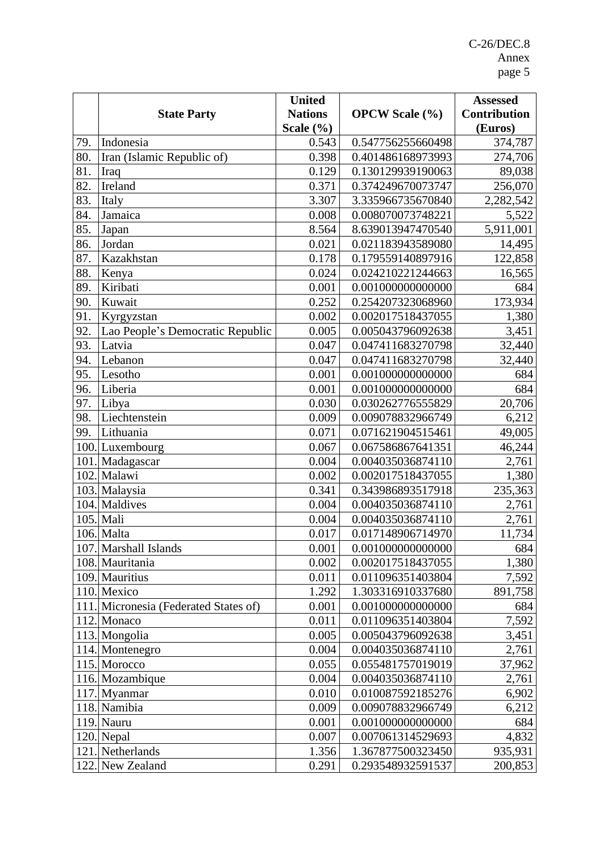|      |                                       | <b>United</b>  |                       | <b>Assessed</b>     |
|------|---------------------------------------|----------------|-----------------------|---------------------|
|      | <b>State Party</b>                    | <b>Nations</b> | <b>OPCW Scale</b> (%) | <b>Contribution</b> |
|      |                                       | Scale $(\% )$  |                       | (Euros)             |
| 79.  | Indonesia                             | 0.543          | 0.547756255660498     | 374,787             |
| 80.  | Iran (Islamic Republic of)            | 0.398          | 0.401486168973993     | 274,706             |
| 81.  | Iraq                                  | 0.129          | 0.130129939190063     | 89,038              |
| 82.  | Ireland                               | 0.371          | 0.374249670073747     | 256,070             |
| 83.  | Italy                                 | 3.307          | 3.335966735670840     | 2,282,542           |
| 84.  | Jamaica                               | 0.008          | 0.008070073748221     | 5,522               |
| 85.  | Japan                                 | 8.564          | 8.639013947470540     | 5,911,001           |
| 86.  | Jordan                                | 0.021          | 0.021183943589080     | 14,495              |
| 87.  | Kazakhstan                            | 0.178          | 0.179559140897916     | 122,858             |
| 88.  | Kenya                                 | 0.024          | 0.024210221244663     | 16,565              |
| 89.  | Kiribati                              | 0.001          | 0.001000000000000     | 684                 |
| 90.  | Kuwait                                | 0.252          | 0.254207323068960     | 173,934             |
| 91.  | Kyrgyzstan                            | 0.002          | 0.002017518437055     | 1,380               |
| 92.  | Lao People's Democratic Republic      | 0.005          | 0.005043796092638     | 3,451               |
| 93.  | Latvia                                | 0.047          | 0.047411683270798     | 32,440              |
| 94.  | Lebanon                               | 0.047          | 0.047411683270798     | 32,440              |
| 95.  | Lesotho                               | 0.001          | 0.001000000000000     | 684                 |
| 96.  | Liberia                               | 0.001          | 0.001000000000000     | 684                 |
| 97.  | Libya                                 | 0.030          | 0.030262776555829     | 20,706              |
| 98.  | Liechtenstein                         | 0.009          | 0.009078832966749     | 6,212               |
| 99.  | Lithuania                             | 0.071          | 0.071621904515461     | 49,005              |
|      | 100. Luxembourg                       | 0.067          | 0.067586867641351     | 46,244              |
| 101. | Madagascar                            | 0.004          | 0.004035036874110     | 2,761               |
|      | 102. Malawi                           | 0.002          | 0.002017518437055     | 1,380               |
|      | 103. Malaysia                         | 0.341          | 0.343986893517918     | 235,363             |
|      | 104. Maldives                         | 0.004          | 0.004035036874110     | 2,761               |
|      | 105. Mali                             | 0.004          | 0.004035036874110     | 2,761               |
|      | 106. Malta                            | 0.017          | 0.017148906714970     | 11,734              |
|      | 107. Marshall Islands                 | 0.001          | $0.001000000000000$   | 684                 |
|      | 108. Mauritania                       | 0.002          | 0.002017518437055     | 1,380               |
|      | 109. Mauritius                        | 0.011          | 0.011096351403804     | 7,592               |
|      | 110. Mexico                           | 1.292          | 1.303316910337680     | 891,758             |
|      | 111. Micronesia (Federated States of) | 0.001          | 0.001000000000000     | 684                 |
|      | 112. Monaco                           | 0.011          | 0.011096351403804     | 7,592               |
|      | 113. Mongolia                         | 0.005          | 0.005043796092638     | 3,451               |
|      | 114. Montenegro                       | 0.004          | 0.004035036874110     | 2,761               |
|      | 115. Morocco                          | 0.055          | 0.055481757019019     | 37,962              |
|      | 116. Mozambique                       | 0.004          | 0.004035036874110     | 2,761               |
|      | 117. Myanmar                          | 0.010          | 0.010087592185276     | 6,902               |
|      | 118. Namibia                          | 0.009          | 0.009078832966749     | 6,212               |
|      | 119. Nauru                            | 0.001          | 0.001000000000000     | 684                 |
|      | 120. Nepal                            | 0.007          | 0.007061314529693     | 4,832               |
|      | 121. Netherlands                      | 1.356          | 1.367877500323450     | 935,931             |
| 122. | New Zealand                           | 0.291          | 0.293548932591537     | 200,853             |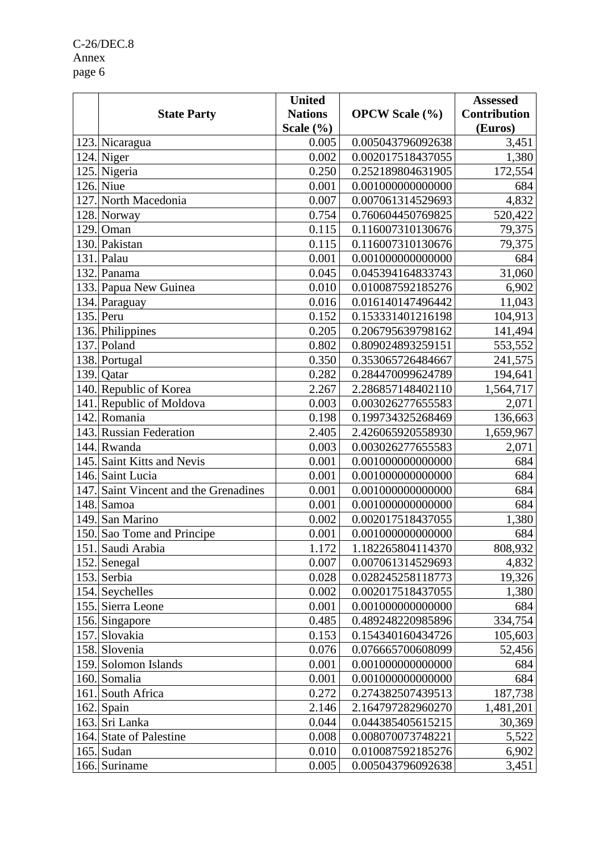C-26/DEC.8 Annex page 6

|      |                                  | <b>United</b>  |                       | <b>Assessed</b>     |
|------|----------------------------------|----------------|-----------------------|---------------------|
|      | <b>State Party</b>               | <b>Nations</b> | <b>OPCW Scale</b> (%) | <b>Contribution</b> |
|      |                                  | Scale $(\% )$  |                       | (Euros)             |
|      | 123. Nicaragua                   | 0.005          | 0.005043796092638     | 3,451               |
|      | 124. Niger                       | 0.002          | 0.002017518437055     | 1,380               |
|      | 125. Nigeria                     | 0.250          | 0.252189804631905     | 172,554             |
|      | 126. Niue                        | 0.001          | 0.001000000000000     | 684                 |
|      | 127. North Macedonia             | 0.007          | 0.007061314529693     | 4,832               |
|      | 128. Norway                      | 0.754          | 0.760604450769825     | 520,422             |
| 129. | Oman                             | 0.115          | 0.116007310130676     | 79,375              |
|      | 130. Pakistan                    | 0.115          | 0.116007310130676     | 79,375              |
|      | 131. Palau                       | 0.001          | 0.001000000000000     | 684                 |
|      | 132. Panama                      | 0.045          | 0.045394164833743     | 31,060              |
|      | 133. Papua New Guinea            | 0.010          | 0.010087592185276     | 6,902               |
|      | 134. Paraguay                    | 0.016          | 0.016140147496442     | 11,043              |
|      | $135.$ Peru                      | 0.152          | 0.153331401216198     | 104,913             |
|      | 136. Philippines                 | 0.205          | 0.206795639798162     | 141,494             |
|      | 137. Poland                      | 0.802          | 0.809024893259151     | 553,552             |
|      | 138. Portugal                    | 0.350          | 0.353065726484667     | 241,575             |
|      | 139. Oatar                       | 0.282          | 0.284470099624789     | 194,641             |
|      | 140. Republic of Korea           | 2.267          | 2.286857148402110     | 1,564,717           |
|      | 141. Republic of Moldova         | 0.003          | 0.003026277655583     | 2,071               |
|      | 142. Romania                     | 0.198          | 0.199734325268469     | 136,663             |
|      | 143. Russian Federation          | 2.405          | 2.426065920558930     | 1,659,967           |
| 144. | Rwanda                           | 0.003          | 0.003026277655583     | 2,071               |
|      | 145. Saint Kitts and Nevis       | 0.001          | 0.001000000000000     | 684                 |
|      | 146. Saint Lucia                 | 0.001          | 0.001000000000000     | 684                 |
| 147. | Saint Vincent and the Grenadines | 0.001          | 0.001000000000000     | 684                 |
|      | 148. Samoa                       | 0.001          | 0.001000000000000     | 684                 |
| 149. | San Marino                       | 0.002          | 0.002017518437055     | 1,380               |
|      | 150. Sao Tome and Principe       | 0.001          | 0.001000000000000     | 684                 |
|      | 151. Saudi Arabia                | 1.172          | 1.182265804114370     | 808,932             |
|      | 152. Senegal                     | 0.007          | 0.007061314529693     | 4,832               |
|      | 153. Serbia                      | 0.028          | 0.028245258118773     | 19,326              |
|      | 154. Seychelles                  | 0.002          | 0.002017518437055     | 1,380               |
|      | 155. Sierra Leone                | 0.001          | 0.001000000000000     | 684                 |
|      | 156. Singapore                   | 0.485          | 0.489248220985896     | 334,754             |
|      | 157. Slovakia                    | 0.153          | 0.154340160434726     | 105,603             |
|      | 158. Slovenia                    | 0.076          | 0.076665700608099     | 52,456              |
|      | 159. Solomon Islands             | 0.001          | 0.001000000000000     | 684                 |
|      | 160. Somalia                     | 0.001          | 0.001000000000000     | 684                 |
|      | 161. South Africa                | 0.272          | 0.274382507439513     | 187,738             |
|      | $162$ . Spain                    | 2.146          | 2.164797282960270     | 1,481,201           |
|      | 163. Sri Lanka                   | 0.044          | 0.044385405615215     | 30,369              |
|      | 164. State of Palestine          | 0.008          | 0.008070073748221     | 5,522               |
|      | $165$ . Sudan                    | 0.010          | 0.010087592185276     | 6,902               |
|      | 166. Suriname                    | 0.005          | 0.005043796092638     | 3,451               |